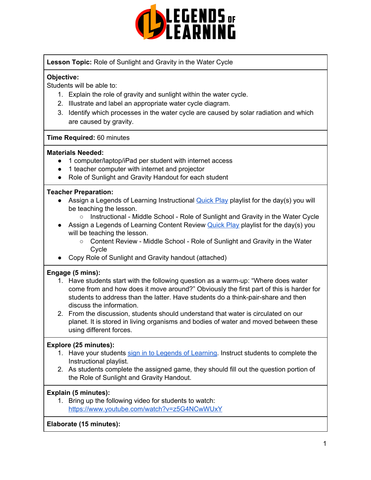

**Lesson Topic:** Role of Sunlight and Gravity in the Water Cycle

## **Objective:**

Students will be able to:

- 1. Explain the role of gravity and sunlight within the water cycle.
- 2. Illustrate and label an appropriate water cycle diagram.
- 3. Identify which processes in the water cycle are caused by solar radiation and which are caused by gravity.

### **Time Required:** 60 minutes

#### **Materials Needed:**

- 1 computer/laptop/iPad per student with internet access
- 1 teacher computer with internet and projector
- Role of Sunlight and Gravity Handout for each student

### **Teacher Preparation:**

- Assign a Legends of Learning Instructional [Quick](https://intercom.help/legends-of-learning/en/articles/2701866-assigning-a-quick-play-playlist) Play playlist for the day(s) you will be teaching the lesson.
	- Instructional Middle School Role of Sunlight and Gravity in the Water Cycle
- Assign a Legends of Learning Content Review [Quick](https://intercom.help/legends-of-learning/en/articles/2701866-assigning-a-quick-play-playlist) Play playlist for the day(s) you will be teaching the lesson.
	- Content Review Middle School Role of Sunlight and Gravity in the Water Cycle
- Copy Role of Sunlight and Gravity handout (attached)

### **Engage (5 mins):**

- 1. Have students start with the following question as a warm-up: "Where does water come from and how does it move around?" Obviously the first part of this is harder for students to address than the latter. Have students do a think-pair-share and then discuss the information.
- 2. From the discussion, students should understand that water is circulated on our planet. It is stored in living organisms and bodies of water and moved between these using different forces.

### **Explore (25 minutes):**

- 1. Have your students sign in to Legends of [Learning](https://intercom.help/legends-of-learning/en/articles/2154920-students-joining-a-playlist). Instruct students to complete the Instructional playlist.
- 2. As students complete the assigned game*,* they should fill out the question portion of the Role of Sunlight and Gravity Handout.

### **Explain (5 minutes):**

1. Bring up the following video for students to watch: <https://www.youtube.com/watch?v=z5G4NCwWUxY>

**Elaborate (15 minutes):**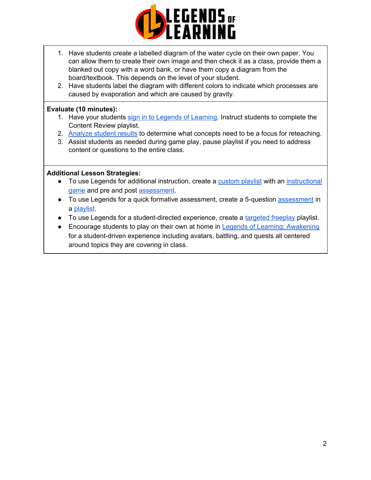

- 1. Have students create a labelled diagram of the water cycle on their own paper. You can allow them to create their own image and then check it as a class, provide them a blanked out copy with a word bank, or have them copy a diagram from the board/textbook. This depends on the level of your student.
- 2. Have students label the diagram with different colors to indicate which processes are caused by evaporation and which are caused by gravity.

## **Evaluate (10 minutes):**

- 1. Have your students sign in to Legends of [Learning](https://intercom.help/legends-of-learning/en/articles/2154920-students-joining-a-playlist). Instruct students to complete the Content Review playlist.
- 2. [Analyze](https://intercom.help/legends-of-learning/en/articles/2154918-tracking-student-progress-and-performance) student results to determine what concepts need to be a focus for reteaching.
- 3. Assist students as needed during game play, pause playlist if you need to address content or questions to the entire class.

### **Additional Lesson Strategies:**

- To use Legends for additional instruction, create a [custom](https://intercom.help/legends-of-learning/en/articles/2154910-creating-a-playlist) playlist with an [instructional](https://intercom.help/legends-of-learning/en/articles/3505828-types-of-games) [game](https://intercom.help/legends-of-learning/en/articles/3505828-types-of-games) and pre and post [assessment](https://intercom.help/legends-of-learning/en/articles/2154913-adding-assessments-to-a-playlist).
- To use Legends for a quick formative [assessment](https://intercom.help/legends-of-learning/en/articles/2154913-adding-assessments-to-a-playlist), create a 5-question assessment in a [playlist](https://intercom.help/legends-of-learning/en/articles/2154910-creating-a-playlist).
- To use Legends for a student-directed experience, create a [targeted](https://intercom.help/legends-of-learning/en/articles/3340814-targeted-freeplay) freeplay playlist.
- Encourage students to play on their own at home in Legends of Learning: [Awakening](https://intercom.help/legends-of-learning/en/articles/2425490-legends-of-learning-awakening) for a student-driven experience including avatars, battling, and quests all centered around topics they are covering in class.